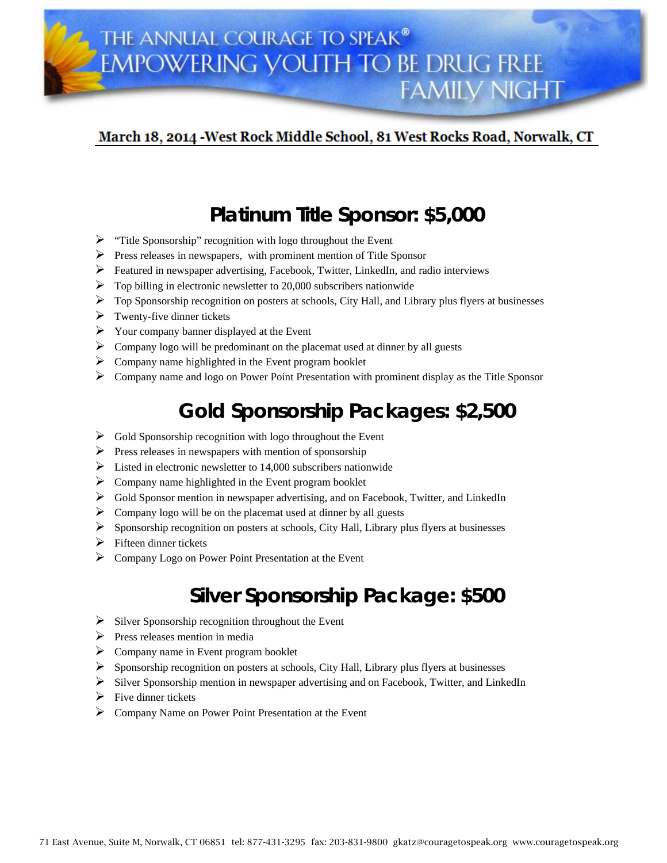### March 18, 2014 - West Rock Middle School, 81 West Rocks Road, Norwalk, CT

## **Platinum Title Sponsor: \$5,000**

- $\triangleright$  "Title Sponsorship" recognition with logo throughout the Event
- $\triangleright$  Press releases in newspapers, with prominent mention of Title Sponsor
- $\triangleright$  Featured in newspaper advertising, Facebook, Twitter, LinkedIn, and radio interviews
- $\triangleright$  Top billing in electronic newsletter to 20,000 subscribers nationwide
- $\triangleright$  Top Sponsorship recognition on posters at schools, City Hall, and Library plus flyers at businesses
- $\triangleright$  Twenty-five dinner tickets
- $\triangleright$  Your company banner displayed at the Event
- $\triangleright$  Company logo will be predominant on the placemat used at dinner by all guests
- $\triangleright$  Company name highlighted in the Event program booklet
- Company name and logo on Power Point Presentation with prominent display as the Title Sponsor

# **Gold Sponsorship Packages: \$2,500**

- $\triangleright$  Gold Sponsorship recognition with logo throughout the Event
- $\triangleright$  Press releases in newspapers with mention of sponsorship
- $\triangleright$  Listed in electronic newsletter to 14,000 subscribers nationwide
- $\triangleright$  Company name highlighted in the Event program booklet
- Gold Sponsor mention in newspaper advertising, and on Facebook, Twitter, and LinkedIn
- $\triangleright$  Company logo will be on the placemat used at dinner by all guests
- $\triangleright$  Sponsorship recognition on posters at schools, City Hall, Library plus flyers at businesses
- $\triangleright$  Fifteen dinner tickets
- Company Logo on Power Point Presentation at the Event

## **Silver Sponsorship Package: \$500**

- $\triangleright$  Silver Sponsorship recognition throughout the Event
- $\triangleright$  Press releases mention in media
- $\triangleright$  Company name in Event program booklet
- $\triangleright$  Sponsorship recognition on posters at schools, City Hall, Library plus flyers at businesses
- Silver Sponsorship mention in newspaper advertising and on Facebook, Twitter, and LinkedIn
- $\triangleright$  Five dinner tickets
- Company Name on Power Point Presentation at the Event